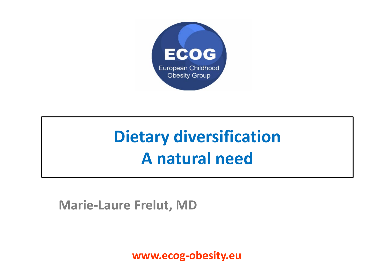

# **Dietary diversification A natural need**

**Marie-Laure Frelut, MD**

**www.ecog-obesity.eu**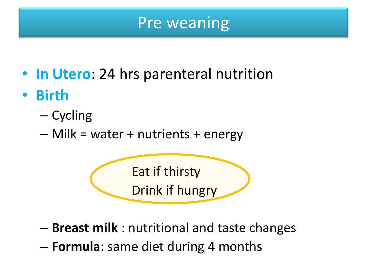# Pre weaning

- **In Utero**: 24 hrs parenteral nutrition
- **Birth**
	- Cycling
	- Milk = water + nutrients + energy

Eat if thirsty Drink if hungry

- **Breast milk** : nutritional and taste changes
- **Formula**: same diet during 4 months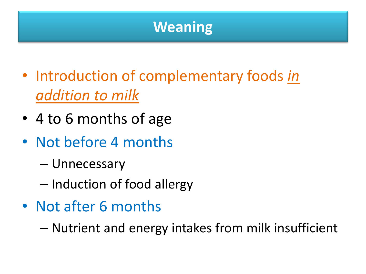# **Weaning**

- Introduction of complementary foods *in addition to milk*
- 4 to 6 months of age
- Not before 4 months
	- Unnecessary
	- Induction of food allergy
- Not after 6 months

– Nutrient and energy intakes from milk insufficient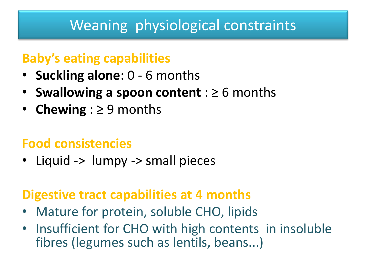# Weaning physiological constraints

### **Baby's eating capabilities**

- **Suckling alone**: 0 6 months
- **Swallowing a spoon content** : ≥ 6 months
- **Chewing** : ≥ 9 months

### **Food consistencies**

• Liquid -> lumpy -> small pieces

### **Digestive tract capabilities at 4 months**

- Mature for protein, soluble CHO, lipids
- Insufficient for CHO with high contents in insoluble fibres (legumes such as lentils, beans...)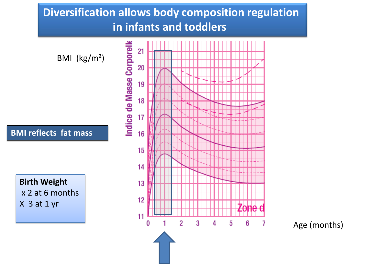#### **Diversification allows body composition regulation in infants and toddlers**



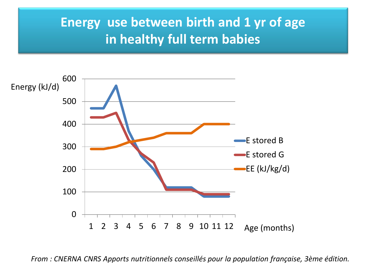### **Energy use between birth and 1 yr of age in healthy full term babies**



*From : CNERNA CNRS Apports nutritionnels conseillés pour la population française, 3ème édition.*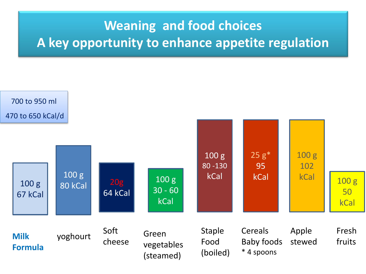# **Weaning and food choices A key opportunity to enhance appetite regulation**

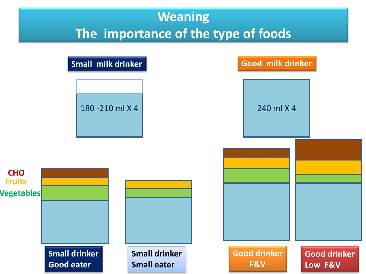## **Weaning The importance of the type of foods**

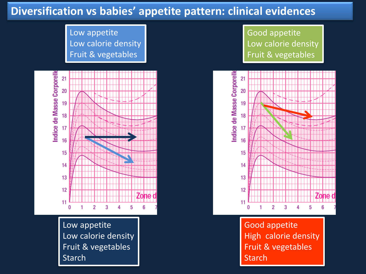#### **Diversification vs babies' appetite pattern: clinical evidences**

Low appetite Low calorie density Fruit & vegetables



Low appetite Low calorie density Fruit & vegetables **Starch** 

Good appetite Low calorie density Fruit & vegetables



Good appetite High calorie density Fruit & vegetables Starch